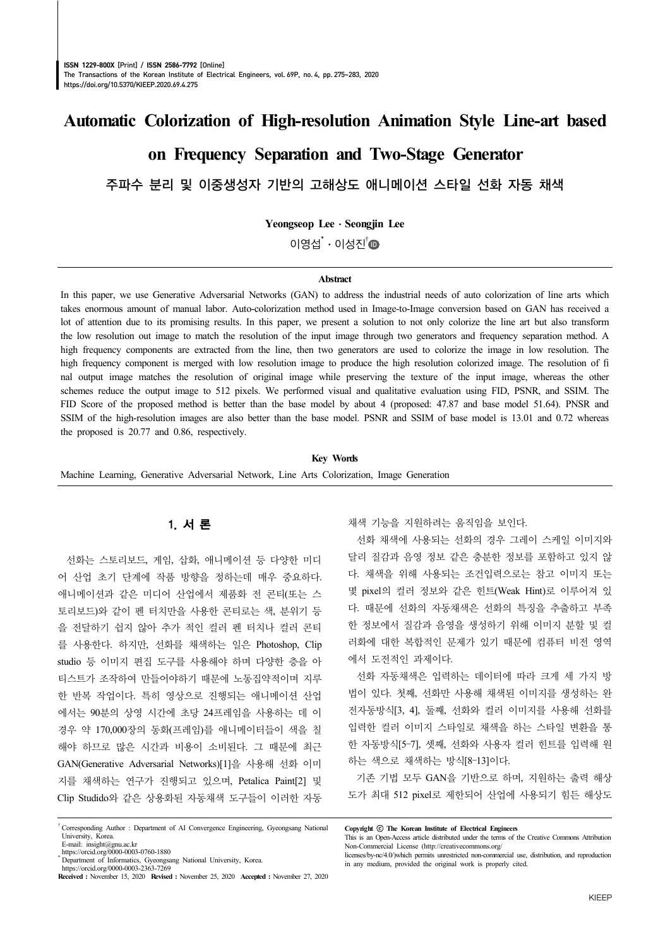# **Automatic Colorization of High-resolution Animation Style Line-art based**

# **on Frequency Separation and Two-Stage Generator**

주파수 분리 및 이중생성자 기반의 고해상도 애니메이션 스타일 선화 자동 채색

**Yeongseop Lee**⋅**Seongjin Lee**

 $0$  영섭 $^*$  · 이성진 $^{\dagger}$   $\blacksquare$ 

#### **Abstract**

In this paper, we use Generative Adversarial Networks (GAN) to address the industrial needs of auto colorization of line arts which takes enormous amount of manual labor. Auto-colorization method used in Image-to-Image conversion based on GAN has received a lot of attention due to its promising results. In this paper, we present a solution to not only colorize the line art but also transform the low resolution out image to match the resolution of the input image through two generators and frequency separation method. A high frequency components are extracted from the line, then two generators are used to colorize the image in low resolution. The high frequency component is merged with low resolution image to produce the high resolution colorized image. The resolution of fi nal output image matches the resolution of original image while preserving the texture of the input image, whereas the other schemes reduce the output image to 512 pixels. We performed visual and qualitative evaluation using FID, PSNR, and SSIM. The FID Score of the proposed method is better than the base model by about 4 (proposed: 47.87 and base model 51.64). PNSR and SSIM of the high-resolution images are also better than the base model. PSNR and SSIM of base model is 13.01 and 0.72 whereas the proposed is 20.77 and 0.86, respectively.

**Key Words**

Machine Learning, Generative Adversarial Network, Line Arts Colorization, Image Generation

# 1. 서 론

선화는 스토리보드, 게임, 삽화, 애니메이션 등 다양한 미디 어 산업 초기 단계에 작품 방향을 정하는데 매우 중요하다. 애니메이션과 같은 미디어 산업에서 제품화 전 콘티(또는 스 토리보드)와 같이 펜 터치만을 사용한 콘티로는 색, 분위기 등 을 전달하기 쉽지 않아 추가 적인 컬러 펜 터치나 컬러 콘티 를 사용한다. 하지만, 선화를 채색하는 일은 Photoshop, Clip studio 등 이미지 편집 도구를 사용해야 하며 다양한 층을 아 티스트가 조작하여 만들어야하기 때문에 노동집약적이며 지루 한 반복 작업이다. 특히 영상으로 진행되는 애니메이션 산업 에서는 90분의 상영 시간에 초당 24프레임을 사용하는 데 이 경우 약 170,000장의 동화(프레임)를 애니메이터들이 색을 칠 해야 하므로 많은 시간과 비용이 소비된다. 그 때문에 최근 GAN(Generative Adversarial Networks)[1]을 사용해 선화 이미 지를 채색하는 연구가 진행되고 있으며, Petalica Paint[2] 및 Clip Studido와 같은 상용화된 자동채색 도구들이 이러한 자동

† Corresponding Author : Department of AI Convergence Engineering, Gyeongsang National University, Korea.

E-mail:  $insight@gnu.ac.kr$ https://orcid.org/0000-0003-0760-1880 채색 기능을 지원하려는 움직임을 보인다.

선화 채색에 사용되는 선화의 경우 그레이 스케일 이미지와 달리 질감과 음영 정보 같은 충분한 정보를 포함하고 있지 않 다. 채색을 위해 사용되는 조건입력으로는 참고 이미지 또는 몇 pixel의 컬러 정보와 같은 힌트(Weak Hint)로 이루어져 있 다. 때문에 선화의 자동채색은 선화의 특징을 추출하고 부족 한 정보에서 질감과 음영을 생성하기 위해 이미지 분할 및 컬 러화에 대한 복합적인 문제가 있기 때문에 컴퓨터 비전 영역 에서 도전적인 과제이다.

선화 자동채색은 입력하는 데이터에 따라 크게 세 가지 방 법이 있다. 첫째, 선화만 사용해 채색된 이미지를 생성하는 완 전자동방식[3, 4], 둘째, 선화와 컬러 이미지를 사용해 선화를 입력한 컬러 이미지 스타일로 채색을 하는 스타일 변환을 통 한 자동방식[5–7], 셋째, 선화와 사용자 컬러 힌트를 입력해 원 하는 색으로 채색하는 방식[8–13]이다.

기존 기법 모두 GAN을 기반으로 하며, 지원하는 출력 해상 도가 최대 512 pixel로 제한되어 산업에 사용되기 힘든 해상도

<sup>\*</sup> Department of Informatics, Gyeongsang National University, Korea. https://orcid.org/0000-0003-2363-7269

**Received :** November 15, 2020 **Revised :** November 25, 2020 **Accepted :** November 27, 2020

**Copyright** ⓒ **The Korean Institute of Electrical Engineers**

This is an Open-Access article distributed under the terms of the Creative Commons Attribution Non-Commercial License (http://creativecommons.org/

licenses/by-nc/4.0/)which permits unrestricted non-commercial use, distribution, and reproduction in any medium, provided the original work is properly cited.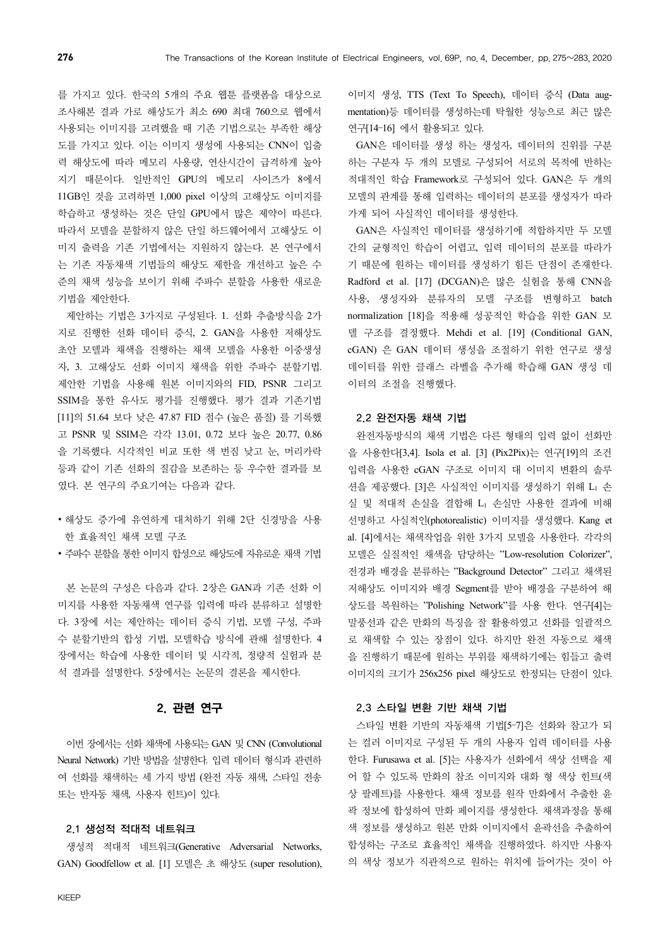를 가지고 있다. 한국의 5개의 주요 웹툰 플랫폼을 대상으로 조사해본 결과 가로 해상도가 최소 690 최대 760으로 웹에서 사용되는 이미지를 고려했을 때 기존 기법으로는 부족한 해상 도를 가지고 있다. 이는 이미지 생성에 사용되는 CNN이 입출 력 해상도에 따라 메모리 사용량, 연산시간이 급격하게 높아 지기 때문이다. 일반적인 GPU의 메모리 사이즈가 8에서 11GB인 것을 고려하면 1,000 pixel 이상의 고해상도 이미지를 학습하고 생성하는 것은 단일 GPU에서 많은 제약이 따른다. 따라서 모델을 분할하지 않은 단일 하드웨어에서 고해상도 이 미지 출력을 기존 기법에서는 지원하지 않는다. 본 연구에서 는 기존 자동채색 기법들의 해상도 제한을 개선하고 높은 수 준의 채색 성능을 보이기 위해 주파수 분할을 사용한 새로운 기법을 제안한다.

제안하는 기법은 3가지로 구성된다. 1. 선화 추출방식을 2가 지로 진행한 선화 데이터 증식, 2. GAN을 사용한 저해상도 초안 모델과 채색을 진행하는 채색 모델을 사용한 이중생성 자, 3. 고해상도 선화 이미지 채색을 위한 주파수 분할기법. 제안한 기법을 사용해 원본 이미지와의 FID, PSNR 그리고 SSIM을 통한 유사도 평가를 진행했다. 평가 결과 기존기법 [11]의 51.64 보다 낮은 47.87 FID 점수 (높은 품질) 를 기록했 고 PSNR 및 SSIM은 각각 13.01, 0.72 보다 높은 20.77, 0.86 을 기록했다. 시각적인 비교 또한 색 번짐 낮고 눈, 머리카락 등과 같이 기존 선화의 질감을 보존하는 등 우수한 결과를 보 였다. 본 연구의 주요기여는 다음과 같다.

- ∙ 해상도 증가에 유연하게 대처하기 위해 2단 신경망을 사용 한 효율적인 채색 모델 구조
- ∙ 주파수 분할을 통한 이미지 합성으로 해상도에 자유로운 채색 기법

본 논문의 구성은 다음과 같다. 2장은 GAN과 기존 선화 이 미지를 사용한 자동채색 연구를 입력에 따라 분류하고 설명한 다. 3장에 서는 제안하는 데이터 증식 기법, 모델 구성, 주파 수 분할기반의 합성 기법, 모델학습 방식에 관해 설명한다. 4 장에서는 학습에 사용한 데이터 및 시각적, 정량적 실험과 분 석 결과를 설명한다. 5장에서는 논문의 결론을 제시한다.

# 2. 관련 연구

이번 장에서는 선화 채색에 사용되는 GAN 및 CNN (Convolutional Neural Network) 기반 방법을 설명한다. 입력 데이터 형식과 관련하 여 선화를 채색하는 세 가지 방법 (완전 자동 채색, 스타일 전송 또는 반자동 채색, 사용자 힌트)이 있다.

## 2.1 생성적 적대적 네트워크

생성적 적대적 네트워크(Generative Adversarial Networks, GAN) Goodfellow et al. [1] 모델은 초 해상도 (super resolution),

이미지 생성, TTS (Text To Speech), 데이터 증식 (Data augmentation)등 데이터를 생성하는데 탁월한 성능으로 최근 많은 연구[14–16] 에서 활용되고 있다.

GAN은 데이터를 생성 하는 생성자, 데이터의 진위를 구분 하는 구분자 두 개의 모델로 구성되어 서로의 목적에 반하는 적대적인 학습 Framework로 구성되어 있다. GAN은 두 개의 모델의 관계를 통해 입력하는 데이터의 분포를 생성자가 따라 가게 되어 사실적인 데이터를 생성한다.

GAN은 사실적인 데이터를 생성하기에 적합하지만 두 모델 간의 균형적인 학습이 어렵고, 입력 데이터의 분포를 따라가 기 때문에 원하는 데이터를 생성하기 힘든 단점이 존재한다. Radford et al. [17] (DCGAN)은 많은 실험을 통해 CNN을 사용, 생성자와 분류자의 모델 구조를 변형하고 batch normalization [18]을 적용해 성공적인 학습을 위한 GAN 모 델 구조를 결정했다. Mehdi et al. [19] (Conditional GAN, cGAN) 은 GAN 데이터 생성을 조절하기 위한 연구로 생성 데이터를 위한 클래스 라벨을 추가해 학습해 GAN 생성 데 이터의 조절을 진행했다.

### 2.2 완전자동 채색 기법

완전자동방식의 채색 기법은 다른 형태의 입력 없이 선화만 을 사용한다[3,4]. Isola et al. [3] (Pix2Pix)는 연구[19]의 조건 입력을 사용한 cGAN 구조로 이미지 대 이미지 변환의 솔루 션을 제공했다. [3]은 사실적인 이미지를 생성하기 위해 L<sup>1</sup> 손 실 및 적대적 손실을 결합해 L<sup>1</sup> 손실만 사용한 결과에 비해 선명하고 사실적인(photorealistic) 이미지를 생성했다. Kang et al. [4]에서는 채색작업을 위한 3가지 모델을 사용한다. 각각의 모델은 실질적인 채색을 담당하는 "Low-resolution Colorizer", 전경과 배경을 분류하는 "Background Detector" 그리고 채색된 저해상도 이미지와 배경 Segment를 받아 배경을 구분하여 해 상도를 복원하는 "Polishing Network"를 사용 한다. 연구[4]는 말풍선과 같은 만화의 특징을 잘 활용하였고 선화를 일괄적으 로 채색할 수 있는 장점이 있다. 하지만 완전 자동으로 채색 을 진행하기 때문에 원하는 부위를 채색하기에는 힘들고 출력 이미지의 크기가 256x256 pixel 해상도로 한정되는 단점이 있다.

## 2.3 스타일 변환 기반 채색 기법

스타일 변환 기반의 자동채색 기법[5–7]은 선화와 참고가 되 는 컬러 이미지로 구성된 두 개의 사용자 입력 데이터를 사용 한다. Furusawa et al. [5]는 사용자가 선화에서 색상 선택을 제 어 할 수 있도록 만화의 참조 이미지와 대화 형 색상 힌트(색 상 팔레트)를 사용한다. 채색 정보를 원작 만화에서 추출한 윤 곽 정보에 합성하여 만화 페이지를 생성한다. 채색과정을 통해 색 정보를 생성하고 원본 만화 이미지에서 윤곽선을 추출하여 합성하는 구조로 효율적인 채색을 진행하였다. 하지만 사용자 의 색상 정보가 직관적으로 원하는 위치에 들어가는 것이 아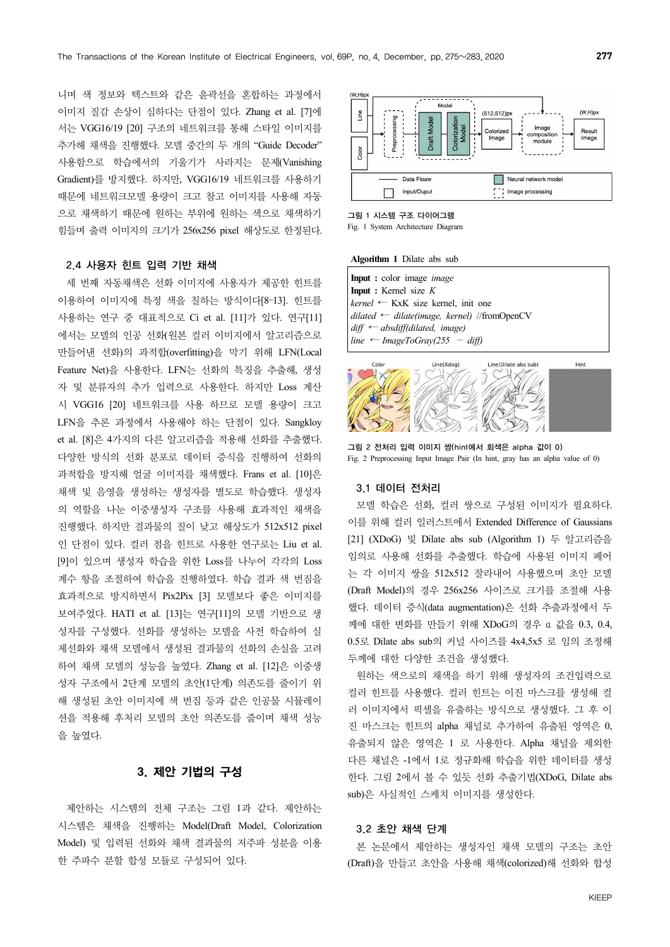니며 색 정보와 텍스트와 같은 윤곽선을 혼합하는 과정에서 이미지 질감 손상이 심하다는 단점이 있다. Zhang et al. [7]에 서는 VGG16/19 [20] 구조의 네트워크를 통해 스타일 이미지를 추가해 채색을 진행했다. 모델 중간의 두 개의 "Guide Decoder" 사용함으로 학습에서의 기울기가 사라지는 문제(Vanishing Gradient)를 방지했다. 하지만, VGG16/19 네트워크를 사용하기 때문에 네트워크모델 용량이 크고 참고 이미지를 사용해 자동 으로 채색하기 때문에 원하는 부위에 원하는 색으로 채색하기 힘들며 출력 이미지의 크기가 256x256 pixel 해상도로 한정된다.

#### 2.4 사용자 힌트 입력 기반 채색

세 번째 자동채색은 선화 이미지에 사용자가 제공한 힌트를 이용하여 이미지에 특정 색을 칠하는 방식이다[8–13]. 힌트를 사용하는 연구 중 대표적으로 Ci et al. [11]가 있다. 연구[11] 에서는 모델의 인공 선화(원본 컬러 이미지에서 알고리즘으로 만들어낸 선화)의 과적합(overfitting)을 막기 위해 LFN(Local Feature Net)을 사용한다. LFN는 선화의 특징을 추출해, 생성 자 및 분류자의 추가 입력으로 사용한다. 하지만 Loss 계산 시 VGG16 [20] 네트워크를 사용 하므로 모델 용량이 크고 LFN을 추론 과정에서 사용해야 하는 단점이 있다. Sangkloy et al. [8]은 4가지의 다른 알고리즘을 적용해 선화를 추출했다. 다양한 방식의 선화 분포로 데이터 증식을 진행하여 선화의 과적합을 방지해 얼굴 이미지를 채색했다. Frans et al. [10]은 채색 및 음영을 생성하는 생성자를 별도로 학습했다. 생성자 의 역할을 나눈 이중생성자 구조를 사용해 효과적인 채색을 진행했다. 하지만 결과물의 질이 낮고 해상도가 512x512 pixel 인 단점이 있다. 컬러 점을 힌트로 사용한 연구로는 Liu et al. [9]이 있으며 생성자 학습을 위한 Loss를 나누어 각각의 Loss 계수 항을 조절하여 학습을 진행하였다. 학습 결과 색 번짐을 효과적으로 방지하면서 Pix2Pix [3] 모델보다 좋은 이미지를 보여주었다. HATI et al. [13]는 연구[11]의 모델 기반으로 생 성자를 구성했다. 선화를 생성하는 모델을 사전 학습하여 실 제선화와 채색 모델에서 생성된 결과물의 선화의 손실을 고려 하여 채색 모델의 성능을 높였다. Zhang et al. [12]은 이중생 성자 구조에서 2단계 모델의 초안(1단계) 의존도를 줄이기 위 해 생성된 초안 이미지에 색 번짐 등과 같은 인공물 시뮬레이 션을 적용해 후처리 모델의 초안 의존도를 줄이며 채색 성능 을 높였다.

# 3. 제안 기법의 구성

제안하는 시스템의 전체 구조는 그림 1과 같다. 제안하는 시스템은 채색을 진행하는 Model(Draft Model, Colorization Model) 및 입력된 선화와 채색 결과물의 저주파 성분을 이용 한 주파수 분할 합성 모듈로 구성되어 있다.



그림 1 시스템 구조 다이어그램 Fig. 1 System Architecture Diagram

#### **Algorithm 1** Dilate abs sub

**Input :** color image *image*  **Input :** Kernel size *K kernel* ← KxK size kernel, init one *dilated* ← *dilate(image, kernel)* //fromOpenCV *diff* ← *absdiff(dilated, image) line* ← *ImageToGray*(255 – *diff)* 



그림 2 전처리 입력 이미지 쌍(hint에서 회색은 alpha 값이 0) Fig. 2 Preprocessing Input Image Pair (In hint, gray has an alpha value of 0)

## 3.1 데이터 전처리

모델 학습은 선화, 컬러 쌍으로 구성된 이미지가 필요하다. 이를 위해 컬러 일러스트에서 Extended Difference of Gaussians [21] (XDoG) 및 Dilate abs sub (Algorithm 1) 두 알고리즘을 임의로 사용해 선화를 추출했다. 학습에 사용된 이미지 페어 는 각 이미지 쌍을 512x512 잘라내어 사용했으며 초안 모델 (Draft Model)의 경우 256x256 사이즈로 크기를 조절해 사용 했다. 데이터 증식(data augmentation)은 선화 추출과정에서 두 께에 대한 변화를 만들기 위해 XDoG의 경우 α 값을 0.3, 0.4, 0.5로 Dilate abs sub의 커널 사이즈를 4x4,5x5 로 임의 조정해 두께에 대한 다양한 조건을 생성했다.

원하는 색으로의 채색을 하기 위해 생성자의 조건입력으로 컬러 힌트를 사용했다. 컬러 힌트는 이진 마스크를 생성해 컬 러 이미지에서 픽셀을 유출하는 방식으로 생성했다. 그 후 이 진 마스크는 힌트의 alpha 채널로 추가하여 유출된 영역은 0, 유출되지 않은 영역은 1 로 사용한다. Alpha 채널을 제외한 다른 채널은 -1에서 1로 정규화해 학습을 위한 데이터를 생성 한다. 그림 2에서 볼 수 있듯 선화 추출기법(XDoG, Dilate abs sub)은 사실적인 스케치 이미지를 생성한다.

## 3.2 초안 채색 단계

본 논문에서 제안하는 생성자인 채색 모델의 구조는 초안 (Draft)을 만들고 초안을 사용해 채색(colorized)해 선화와 합성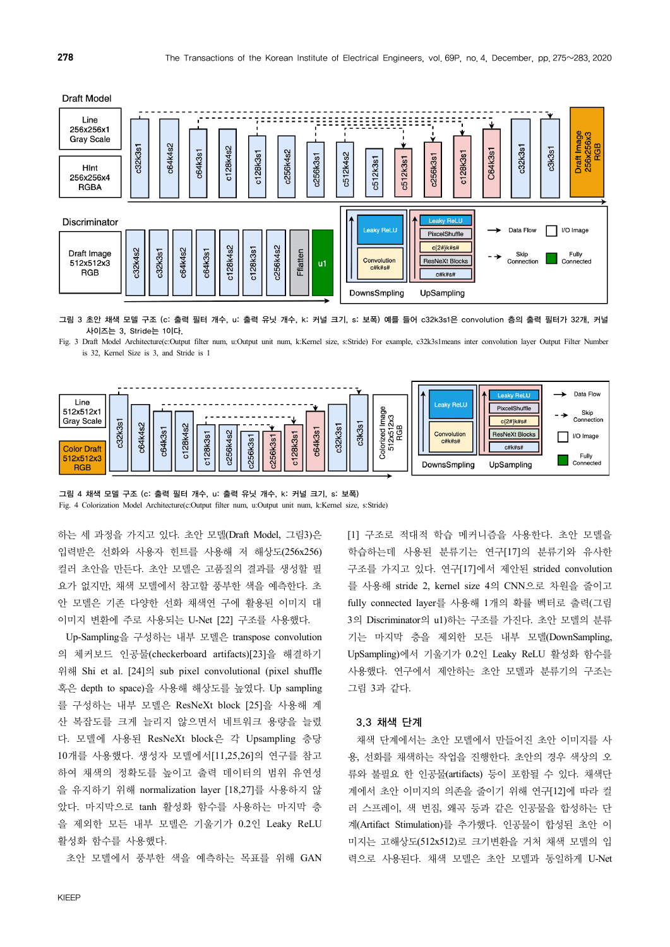



그림 3 초안 채색 모델 구조 (c: 출력 필터 개수, u: 출력 유닛 개수, k: 커널 크기, s: 보폭) 예를 들어 c32k3s1은 convolution 층의 출력 필터가 32개, 커널 사이즈는 3, Stride는 1이다.

Fig. 3 Draft Model Architecture(c:Output filter num, u:Output unit num, k:Kernel size, s:Stride) For example, c32k3s1means inter convolution layer Output Filter Number is 32, Kernel Size is 3, and Stride is 1



그림 4 채색 모델 구조 (c: 출력 필터 개수, u: 출력 유닛 개수, k: 커널 크기, s: 보폭) Fig. 4 Colorization Model Architecture(c:Output filter num, u:Output unit num, k:Kernel size, s:Stride)

하는 세 과정을 가지고 있다. 초안 모델(Draft Model, 그림3)은 입력받은 선화와 사용자 힌트를 사용해 저 해상도(256x256) 컬러 초안을 만든다. 초안 모델은 고품질의 결과를 생성할 필 요가 없지만, 채색 모델에서 참고할 풍부한 색을 예측한다. 초 안 모델은 기존 다양한 선화 채색연 구에 활용된 이미지 대 이미지 변환에 주로 사용되는 U-Net [22] 구조를 사용했다.

Up-Sampling을 구성하는 내부 모델은 transpose convolution 의 체커보드 인공물(checkerboard artifacts)[23]을 해결하기 위해 Shi et al. [24]의 sub pixel convolutional (pixel shuffle 혹은 depth to space)을 사용해 해상도를 높였다. Up sampling 를 구성하는 내부 모델은 ResNeXt block [25]을 사용해 계 산 복잡도를 크게 늘리지 않으면서 네트워크 용량을 늘렸 다. 모델에 사용된 ResNeXt block은 각 Upsampling 층당 10개를 사용했다. 생성자 모델에서[11,25,26]의 연구를 참고 하여 채색의 정확도를 높이고 출력 데이터의 범위 유연성 을 유지하기 위해 normalization layer [18,27]를 사용하지 않 았다. 마지막으로 tanh 활성화 함수를 사용하는 마지막 층 을 제외한 모든 내부 모델은 기울기가 0.2인 Leaky ReLU 활성화 함수를 사용했다.

초안 모델에서 풍부한 색을 예측하는 목표를 위해 GAN

[1] 구조로 적대적 학습 메커니즘을 사용한다. 초안 모델을 학습하는데 사용된 분류기는 연구[17]의 분류기와 유사한 구조를 가지고 있다. 연구[17]에서 제안된 strided convolution 를 사용해 stride 2, kernel size 4의 CNN으로 차원을 줄이고 fully connected layer를 사용해 1개의 확률 벡터로 출력(그림 3의 Discriminator의 u1)하는 구조를 가진다. 초안 모델의 분류 기는 마지막 층을 제외한 모든 내부 모델(DownSampling, UpSampling)에서 기울기가 0.2인 Leaky ReLU 활성화 함수를 사용했다. 연구에서 제안하는 초안 모델과 분류기의 구조는 그림 3과 같다.

#### 3.3 채색 단계

채색 단계에서는 초안 모델에서 만들어진 초안 이미지를 사 용, 선화를 채색하는 작업을 진행한다. 초안의 경우 색상의 오 류와 불필요 한 인공물(artifacts) 등이 포함될 수 있다. 채색단 계에서 초안 이미지의 의존을 줄이기 위해 연구[12]에 따라 컬 러 스프레이, 색 번짐, 왜곡 등과 같은 인공물을 합성하는 단 계(Artifact Stimulation)를 추가했다. 인공물이 합성된 초안 이 미지는 고해상도(512x512)로 크기변환을 거처 채색 모델의 입 력으로 사용된다. 채색 모델은 초안 모델과 동일하게 U-Net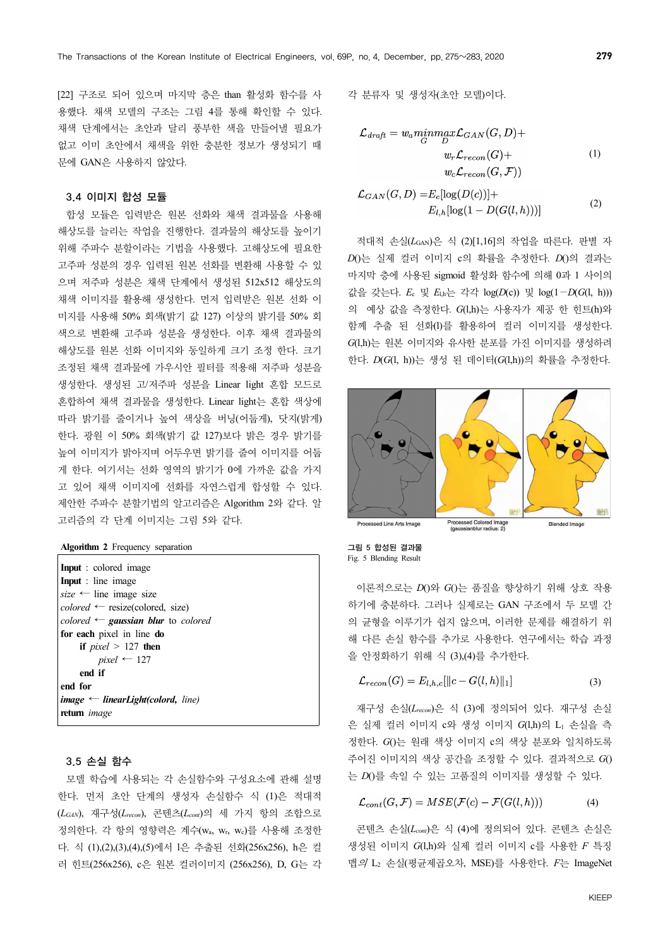[22] 구조로 되어 있으며 마지막 층은 than 활성화 함수를 사 용했다. 채색 모델의 구조는 그림 4를 통해 확인할 수 있다. 채색 단계에서는 초안과 달리 풍부한 색을 만들어낼 필요가 없고 이미 초안에서 채색을 위한 충분한 정보가 생성되기 때 문에 GAN은 사용하지 않았다.

## 3.4 이미지 합성 모듈

합성 모듈은 입력받은 원본 선화와 채색 결과물을 사용해 해상도를 늘리는 작업을 진행한다. 결과물의 해상도를 높이기 위해 주파수 분할이라는 기법을 사용했다. 고해상도에 필요한 고주파 성분의 경우 입력된 원본 선화를 변환해 사용할 수 있 으며 저주파 성분은 채색 단계에서 생성된 512x512 해상도의 채색 이미지를 활용해 생성한다. 먼저 입력받은 원본 선화 이 미지를 사용해 50% 회색(밝기 값 127) 이상의 밝기를 50% 회 색으로 변환해 고주파 성분을 생성한다. 이후 채색 결과물의 해상도를 원본 선화 이미지와 동일하게 크기 조정 한다. 크기 조정된 채색 결과물에 가우시안 필터를 적용해 저주파 성분을 생성한다. 생성된 고/저주파 성분을 Linear light 혼합 모드로 혼합하여 채색 결과물을 생성한다. Linear light는 혼합 색상에 따라 밝기를 줄이거나 높여 색상을 버닝(어둡게), 닷지(밝게) 한다. 광원 이 50% 회색(밝기 값 127)보다 밝은 경우 밝기를 높여 이미지가 밝아지며 어두우면 밝기를 줄여 이미지를 어둡 게 한다. 여기서는 선화 영역의 밝기가 0에 가까운 값을 가지 고 있어 채색 이미지에 선화를 자연스럽게 합성할 수 있다. 제안한 주파수 분할기법의 알고리즘은 Algorithm 2와 같다. 알 고리즘의 각 단계 이미지는 그림 5와 같다.

|  |  |  | Algorithm 2 Frequency separation |  |
|--|--|--|----------------------------------|--|
|--|--|--|----------------------------------|--|

| <b>Input</b> : colored image                                     |
|------------------------------------------------------------------|
| <b>Input</b> : line image                                        |
| $size \leftarrow$ line image size                                |
| $colored \leftarrow \text{resize}(\text{colored}, \text{ size})$ |
| colored $\leftarrow$ gaussian blur to colored                    |
| for each pixel in line do                                        |
| if <i>pixel</i> $> 127$ then                                     |
| $pixel \leftarrow 127$                                           |
| end if                                                           |
| end for                                                          |
| <b>image</b> $\leftarrow$ <b>linearLight</b> (colord, line)      |
| <b>return</b> <i>image</i>                                       |
|                                                                  |

## 3.5 손실 함수

모델 학습에 사용되는 각 손실함수와 구성요소에 관해 설명 한다. 먼저 초안 단계의 생성자 손실함수 식 (1)은 적대적 (*LGAN*), 재구성(*Lrecon*), 콘텐츠(*Lcont*)의 세 가지 항의 조합으로 정의한다. 각 항의 영향력은 계수(wa, wr, wc)를 사용해 조정한 다. 식 (1),(2),(3),(4),(5)에서 l은 추출된 선화(256x256), h은 컬 러 힌트(256x256), c은 원본 컬러이미지 (256x256), D, G는 각 각 분류자 및 생성자(초안 모델)이다.

$$
\mathcal{L}_{draff} = w_a \underset{G}{min} \underset{D}{max} \mathcal{L}_{GAN}(G, D) +
$$

$$
w_r \mathcal{L}_{recon}(G) +
$$

$$
w_c \mathcal{L}_{recon}(G, \mathcal{F}))
$$
(1)

$$
\mathcal{L}_{GAN}(G, D) = E_c[log(D(c))] + \nE_{l,h}[log(1 - D(G(l, h)))]
$$
\n(2)

적대적 손실(*L*GAN)은 식 (2)[1,16]의 작업을 따른다. 판별 자 *D*()는 실제 컬러 이미지 c의 확률을 추정한다. *D*()의 결과는 마지막 층에 사용된 sigmoid 활성화 함수에 의해 0과 1 사이의 값을 갖는다. *E*<sup>c</sup> 및 *E*l,h는 각각 log(*D*(c)) 및 log(1−*D*(*G*(l, h))) 의 예상 값을 측정한다. *G*(l,h)는 사용자가 제공 한 힌트(h)와 함께 추출 된 선화(l)를 활용하여 컬러 이미지를 생성한다. *G*(l,h)는 원본 이미지와 유사한 분포를 가진 이미지를 생성하려 한다. *D*(*G*(l, h))는 생성 된 데이터(*G*(l,h))의 확률을 추정한다.



그림 5 합성된 결과물 Fig. 5 Blending Result

이론적으로는 *D*()와 *G*()는 품질을 향상하기 위해 상호 작용 하기에 충분하다. 그러나 실제로는 GAN 구조에서 두 모델 간 의 균형을 이루기가 쉽지 않으며, 이러한 문제를 해결하기 위 해 다른 손실 함수를 추가로 사용한다. 연구에서는 학습 과정 을 안정화하기 위해 식 (3),(4)를 추가한다.

$$
\mathcal{L}_{recon}(G) = E_{l,h,c}[\Vert c - G(l,h) \Vert_1] \tag{3}
$$

재구성 손실(*Lrecon*)은 식 (3)에 정의되어 있다. 재구성 손실 은 실제 컬러 이미지 c와 생성 이미지 *G*(l,h)의 L1 손실을 측 정한다. *G*()는 원래 색상 이미지 c의 색상 분포와 일치하도록 주어진 이미지의 색상 공간을 조정할 수 있다. 결과적으로 *G*() 는 *D*()를 속일 수 있는 고품질의 이미지를 생성할 수 있다.

$$
\mathcal{L}_{cont}(G, \mathcal{F}) = MSE(\mathcal{F}(c) - \mathcal{F}(G(l, h))) \tag{4}
$$

콘텐츠 손실(*Lcont*)은 식 (4)에 정의되어 있다. 콘텐츠 손실은 생성된 이미지 *G*(l,h)와 실제 컬러 이미지 c를 사용한 *F* 특징 맵의 L<sup>2</sup> 손실(평균제곱오차, MSE)를 사용한다. *F*는 ImageNet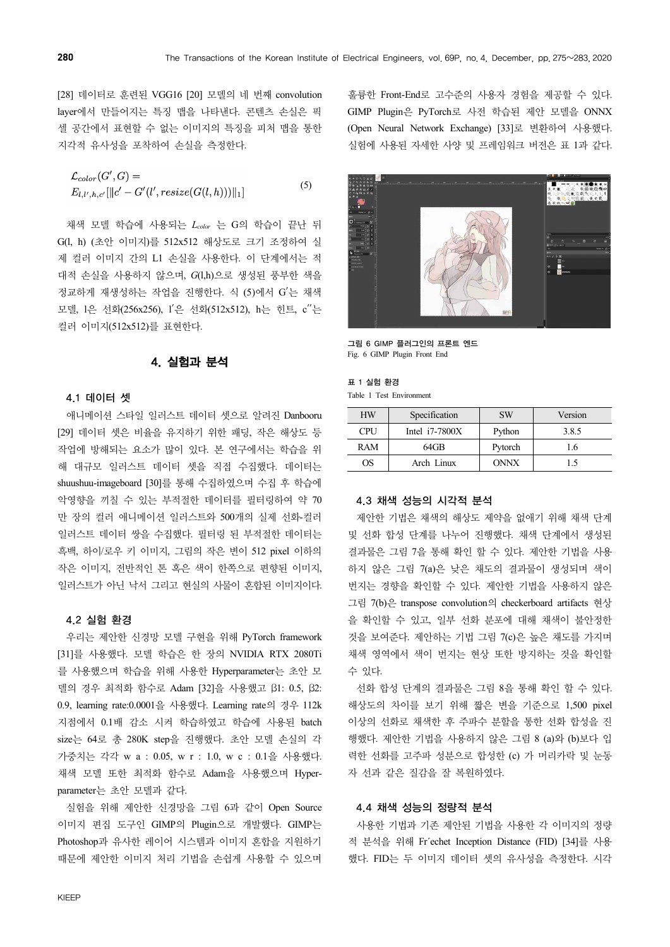[28] 데이터로 훈련된 VGG16 [20] 모델의 네 번째 convolution layer에서 만들어지는 특징 맵을 나타낸다. 콘텐츠 손실은 픽 셀 공간에서 표현할 수 없는 이미지의 특징을 피처 맵을 통한 지각적 유사성을 포착하여 손실을 측정한다.

 $\mathcal{L}_{color}(G',G) =$ (5)  $E_{l,l',h,c'}[\|c'-G'(l',resize(G(l,h)))\|_1]$ 

채색 모델 학습에 사용되는 *Lcolor* 는 G의 학습이 끝난 뒤 G(l, h) (초안 이미지)를 512x512 해상도로 크기 조정하여 실 제 컬러 이미지 간의 L1 손실을 사용한다. 이 단계에서는 적 대적 손실을 사용하지 않으며, *G*(l,h)으로 생성된 풍부한 색을 정교하게 재생성하는 작업을 진행한다. 식 (5)에서 G′는 채색 모델, l은 선화(256x256), l′은 선화(512x512), h는 힌트, c′′는 컬러 이미지(512x512)를 표현한다.

# 4. 실험과 분석

## 4.1 데이터 셋

애니메이션 스타일 일러스트 데이터 셋으로 알려진 Danbooru [29] 데이터 셋은 비율을 유지하기 위한 패딩, 작은 해상도 등 작업에 방해되는 요소가 많이 있다. 본 연구에서는 학습을 위 해 대규모 일러스트 데이터 셋을 직접 수집했다. 데이터는 shuushuu-imageboard [30]를 통해 수집하였으며 수집 후 학습에 악영향을 끼칠 수 있는 부적절한 데이터를 필터링하여 약 70 만 장의 컬러 애니메이션 일러스트와 500개의 실제 선화-컬러 일러스트 데이터 쌍을 수집했다. 필터링 된 부적절한 데이터는 흑백, 하이/로우 키 이미지, 그림의 작은 변이 512 pixel 이하의 작은 이미지, 전반적인 톤 혹은 색이 한쪽으로 편향된 이미지, 일러스트가 아닌 낙서 그리고 현실의 사물이 혼합된 이미지이다.

## 4.2 실험 환경

우리는 제안한 신경망 모델 구현을 위해 PyTorch framework [31]를 사용했다. 모델 학습은 한 장의 NVIDIA RTX 2080Ti 를 사용했으며 학습을 위해 사용한 Hyperparameter는 초안 모 델의 경우 최적화 함수로 Adam [32]을 사용했고 β1: 0.5, β2: 0.9, learning rate:0.0001을 사용했다. Learning rate의 경우 112k 지점에서 0.1배 감소 시켜 학습하였고 학습에 사용된 batch size는 64로 총 280K step을 진행했다. 초안 모델 손실의 각 가중치는 각각 w a : 0.05, w r : 1.0, w c : 0.1을 사용했다. 채색 모델 또한 최적화 함수로 Adam을 사용했으며 Hyperparameter는 초안 모델과 같다.

실험을 위해 제안한 신경망을 그림 6과 같이 Open Source 이미지 편집 도구인 GIMP의 Plugin으로 개발했다. GIMP는 Photoshop과 유사한 레이어 시스템과 이미지 혼합을 지원하기 때문에 제안한 이미지 처리 기법을 손쉽게 사용할 수 있으며

훌륭한 Front-End로 고수준의 사용자 경험을 제공할 수 있다. GIMP Plugin은 PyTorch로 사전 학습된 제안 모델을 ONNX (Open Neural Network Exchange) [33]로 변환하여 사용했다. 실험에 사용된 자세한 사양 및 프레임워크 버전은 표 1과 같다.



그림 6 GIMP 플러그인의 프론트 엔드 Fig. 6 GIMP Plugin Front End

### 표 1 실험 환경

Table 1 Test Environment

| <b>HW</b>  | Specification    | <b>SW</b>   | Version |  |
|------------|------------------|-------------|---------|--|
| <b>CPU</b> | Intel $i7-7800X$ | Python      | 3.8.5   |  |
| RAM        | 64GB             | Pytorch     | .6      |  |
| ОS         | Arch Linux       | <b>ONNX</b> | 15      |  |

## 4.3 채색 성능의 시각적 분석

제안한 기법은 채색의 해상도 제약을 없애기 위해 채색 단계 및 선화 합성 단계를 나누어 진행했다. 채색 단계에서 생성된 결과물은 그림 7을 통해 확인 할 수 있다. 제안한 기법을 사용 하지 않은 그림 7(a)은 낮은 채도의 결과물이 생성되며 색이 번지는 경향을 확인할 수 있다. 제안한 기법을 사용하지 않은 그림 7(b)은 transpose convolution의 checkerboard artifacts 현상 을 확인할 수 있고, 일부 선화 분포에 대해 채색이 불안정한 것을 보여준다. 제안하는 기법 그림 7(c)은 높은 채도를 가지며 채색 영역에서 색이 번지는 현상 또한 방지하는 것을 확인할 수 있다.

선화 합성 단계의 결과물은 그림 8을 통해 확인 할 수 있다. 해상도의 차이를 보기 위해 짧은 변을 기준으로 1,500 pixel 이상의 선화로 채색한 후 주파수 분할을 통한 선화 합성을 진 행했다. 제안한 기법을 사용하지 않은 그림 8 (a)와 (b)보다 입 력한 선화를 고주파 성분으로 합성한 (c) 가 머리카락 및 눈동 자 선과 같은 질감을 잘 복원하였다.

## 4.4 채색 성능의 정량적 분석

사용한 기법과 기존 제안된 기법을 사용한 각 이미지의 정량 적 분석을 위해 Fr´echet Inception Distance (FID) [34]를 사용 했다. FID는 두 이미지 데이터 셋의 유사성을 측정한다. 시각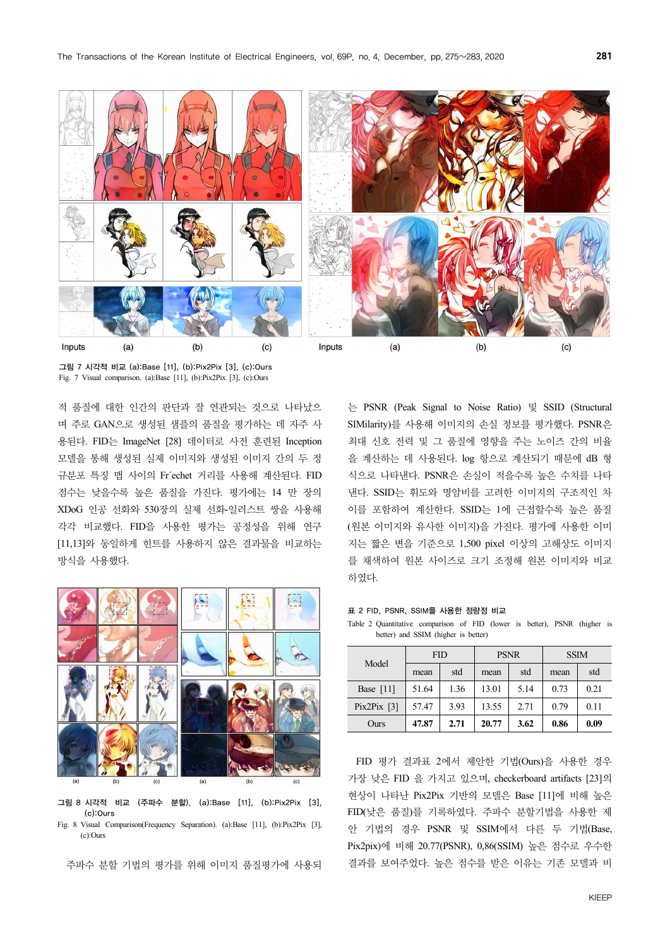

그림 7 시각적 비교 (a):Base [11], (b):Pix2Pix [3], (c):Ours Fig. 7 Visual comparison. (a):Base [11], (b):Pix2Pix [3], (c):Ours

적 품질에 대한 인간의 판단과 잘 연관되는 것으로 나타났으 며 주로 GAN으로 생성된 샘플의 품질을 평가하는 데 자주 사 용된다. FID는 ImageNet [28] 데이터로 사전 훈련된 Inception 모델을 통해 생성된 실제 이미지와 생성된 이미지 간의 두 정 규분포 특징 맵 사이의 Fr´echet 거리를 사용해 계산된다. FID 점수는 낮을수록 높은 품질을 가진다. 평가에는 14 만 장의 XDoG 인공 선화와 530장의 실제 선화-일러스트 쌍을 사용해 각각 비교했다. FID을 사용한 평가는 공정성을 위해 연구 [11,13]와 동일하게 힌트를 사용하지 않은 결과물을 비교하는 방식을 사용했다.



그림 8 시각적 비교 (주파수 분할). (a):Base [11], (b):Pix2Pix [3], (c):Ours Fig. 8 Visual Comparison(Frequency Separation). (a):Base [11], (b):Pix2Pix [3],

(c):Ours

주파수 분할 기법의 평가를 위해 이미지 품질평가에 사용되

는 PSNR (Peak Signal to Noise Ratio) 및 SSID (Structural SIMilarity)를 사용해 이미지의 손실 정보를 평가했다. PSNR은 최대 신호 전력 및 그 품질에 영향을 주는 노이즈 간의 비율 을 계산하는 데 사용된다. log 항으로 계산되기 때문에 dB 형 식으로 나타낸다. PSNR은 손실이 적을수록 높은 수치를 나타 낸다. SSID는 휘도와 명암비를 고려한 이미지의 구조적인 차 이를 포함하여 계산한다. SSID는 1에 근접할수록 높은 품질 (원본 이미지와 유사한 이미지)을 가진다. 평가에 사용한 이미 지는 짧은 변을 기준으로 1,500 pixel 이상의 고해상도 이미지 를 채색하여 원본 사이즈로 크기 조정해 원본 이미지와 비교 하였다.

표 2 FID, PSNR, SSIM를 사용한 정량정 비교

Table 2 Quantitative comparison of FID (lower is better), PSNR (higher is better) and SSIM (higher is better)

| Model         | FID   |      | <b>PSNR</b> |      | <b>SSIM</b> |      |
|---------------|-------|------|-------------|------|-------------|------|
|               | mean  | std  | mean        | std  | mean        | std  |
| Base $[11]$   | 51.64 | 1.36 | 13.01       | 5.14 | 0.73        | 0.21 |
| Pix2Pix $[3]$ | 57.47 | 3.93 | 13.55       | 2.71 | 0.79        | 0.11 |
| Ours          | 47.87 | 2.71 | 20.77       | 3.62 | 0.86        | 0.09 |

FID 평가 결과표 2에서 제안한 기법(Ours)을 사용한 경우 가장 낮은 FID 을 가지고 있으며, checkerboard artifacts [23]의 현상이 나타난 Pix2Pix 기반의 모델은 Base [11]에 비해 높은 FID(낮은 품질)를 기록하였다. 주파수 분할기법을 사용한 제 안 기법의 경우 PSNR 및 SSIM에서 다른 두 기법(Base, Pix2pix)에 비해 20.77(PSNR), 0,86(SSIM) 높은 점수로 우수한 결과를 보여주었다. 높은 점수를 받은 이유는 기존 모델과 비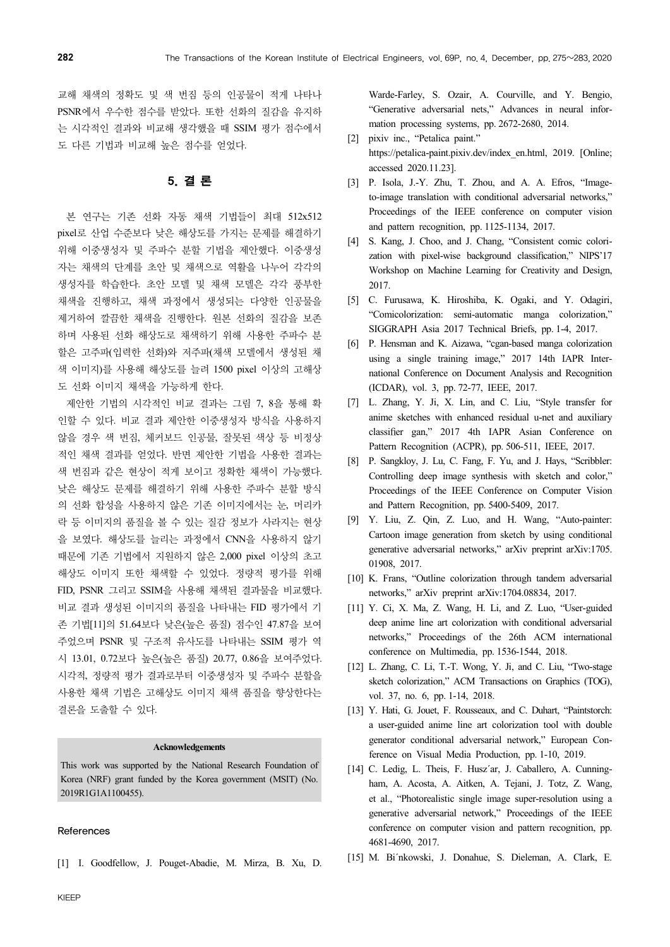교해 채색의 정확도 및 색 번짐 등의 인공물이 적게 나타나 PSNR에서 우수한 점수를 받았다. 또한 선화의 질감을 유지하 는 시각적인 결과와 비교해 생각했을 때 SSIM 평가 점수에서 도 다른 기법과 비교해 높은 점수를 얻었다.

# 5. 결 론

본 연구는 기존 선화 자동 채색 기법들이 최대 512x512 pixel로 산업 수준보다 낮은 해상도를 가지는 문제를 해결하기 위해 이중생성자 및 주파수 분할 기법을 제안했다. 이중생성 자는 채색의 단계를 초안 및 채색으로 역활을 나누어 각각의 생성자를 학습한다. 초안 모델 및 채색 모델은 각각 풍부한 채색을 진행하고, 채색 과정에서 생성되는 다양한 인공물을 제거하여 깔끔한 채색을 진행한다. 원본 선화의 질감을 보존 하며 사용된 선화 해상도로 채색하기 위해 사용한 주파수 분 할은 고주파(입력한 선화)와 저주파(채색 모델에서 생성된 채 색 이미지)를 사용해 해상도를 늘려 1500 pixel 이상의 고해상 도 선화 이미지 채색을 가능하게 한다.

제안한 기법의 시각적인 비교 결과는 그림 7, 8을 통해 확 인할 수 있다. 비교 결과 제안한 이중생성자 방식을 사용하지 않을 경우 색 번짐, 체커보드 인공물, 잘못된 색상 등 비정상 적인 채색 결과를 얻었다. 반면 제안한 기법을 사용한 결과는 색 번짐과 같은 현상이 적게 보이고 정확한 채색이 가능했다. 낮은 해상도 문제를 해결하기 위해 사용한 주파수 분할 방식 의 선화 합성을 사용하지 않은 기존 이미지에서는 눈, 머리카 락 등 이미지의 품질을 볼 수 있는 질감 정보가 사라지는 현상 을 보였다. 해상도를 늘리는 과정에서 CNN을 사용하지 않기 때문에 기존 기법에서 지원하지 않은 2,000 pixel 이상의 초고 해상도 이미지 또한 채색할 수 있었다. 정량적 평가를 위해 FID, PSNR 그리고 SSIM을 사용해 채색된 결과물을 비교했다. 비교 결과 생성된 이미지의 품질을 나타내는 FID 평가에서 기 존 기법[11]의 51.64보다 낮은(높은 품질) 점수인 47.87을 보여 주었으며 PSNR 및 구조적 유사도를 나타내는 SSIM 평가 역 시 13.01, 0.72보다 높은(높은 품질) 20.77, 0.86을 보여주었다. 시각적, 정량적 평가 결과로부터 이중생성자 및 주파수 분할을 사용한 채색 기법은 고해상도 이미지 채색 품질을 향상한다는 결론을 도출할 수 있다.

#### **Acknowledgements**

This work was supported by the National Research Foundation of Korea (NRF) grant funded by the Korea government (MSIT) (No. 2019R1G1A1100455).

#### References

[1] I. Goodfellow, J. Pouget-Abadie, M. Mirza, B. Xu, D.

Warde-Farley, S. Ozair, A. Courville, and Y. Bengio, "Generative adversarial nets," Advances in neural information processing systems, pp. 2672-2680, 2014.

- [2] pixiv inc., "Petalica paint." https://petalica-paint.pixiv.dev/index\_en.html, 2019. [Online; accessed 2020.11.23].
- [3] P. Isola, J.-Y. Zhu, T. Zhou, and A. A. Efros, "Imageto-image translation with conditional adversarial networks," Proceedings of the IEEE conference on computer vision and pattern recognition, pp. 1125-1134, 2017.
- [4] S. Kang, J. Choo, and J. Chang, "Consistent comic colorization with pixel-wise background classification," NIPS'17 Workshop on Machine Learning for Creativity and Design, 2017.
- [5] C. Furusawa, K. Hiroshiba, K. Ogaki, and Y. Odagiri, "Comicolorization: semi-automatic manga colorization," SIGGRAPH Asia 2017 Technical Briefs, pp. 1-4, 2017.
- [6] P. Hensman and K. Aizawa, "cgan-based manga colorization using a single training image," 2017 14th IAPR International Conference on Document Analysis and Recognition (ICDAR), vol. 3, pp. 72-77, IEEE, 2017.
- [7] L. Zhang, Y. Ji, X. Lin, and C. Liu, "Style transfer for anime sketches with enhanced residual u-net and auxiliary classifier gan," 2017 4th IAPR Asian Conference on Pattern Recognition (ACPR), pp. 506-511, IEEE, 2017.
- [8] P. Sangkloy, J. Lu, C. Fang, F. Yu, and J. Hays, "Scribbler: Controlling deep image synthesis with sketch and color," Proceedings of the IEEE Conference on Computer Vision and Pattern Recognition, pp. 5400-5409, 2017.
- [9] Y. Liu, Z. Qin, Z. Luo, and H. Wang, "Auto-painter: Cartoon image generation from sketch by using conditional generative adversarial networks," arXiv preprint arXiv:1705. 01908, 2017.
- [10] K. Frans, "Outline colorization through tandem adversarial networks," arXiv preprint arXiv:1704.08834, 2017.
- [11] Y. Ci, X. Ma, Z. Wang, H. Li, and Z. Luo, "User-guided deep anime line art colorization with conditional adversarial networks," Proceedings of the 26th ACM international conference on Multimedia, pp. 1536-1544, 2018.
- [12] L. Zhang, C. Li, T.-T. Wong, Y. Ji, and C. Liu, "Two-stage sketch colorization," ACM Transactions on Graphics (TOG), vol. 37, no. 6, pp. 1-14, 2018.
- [13] Y. Hati, G. Jouet, F. Rousseaux, and C. Duhart, "Paintstorch: a user-guided anime line art colorization tool with double generator conditional adversarial network," European Conference on Visual Media Production, pp. 1-10, 2019.
- [14] C. Ledig, L. Theis, F. Husz'ar, J. Caballero, A. Cunningham, A. Acosta, A. Aitken, A. Tejani, J. Totz, Z. Wang, et al., "Photorealistic single image super-resolution using a generative adversarial network," Proceedings of the IEEE conference on computer vision and pattern recognition, pp. 4681-4690, 2017.
- [15] M. Bi´nkowski, J. Donahue, S. Dieleman, A. Clark, E.